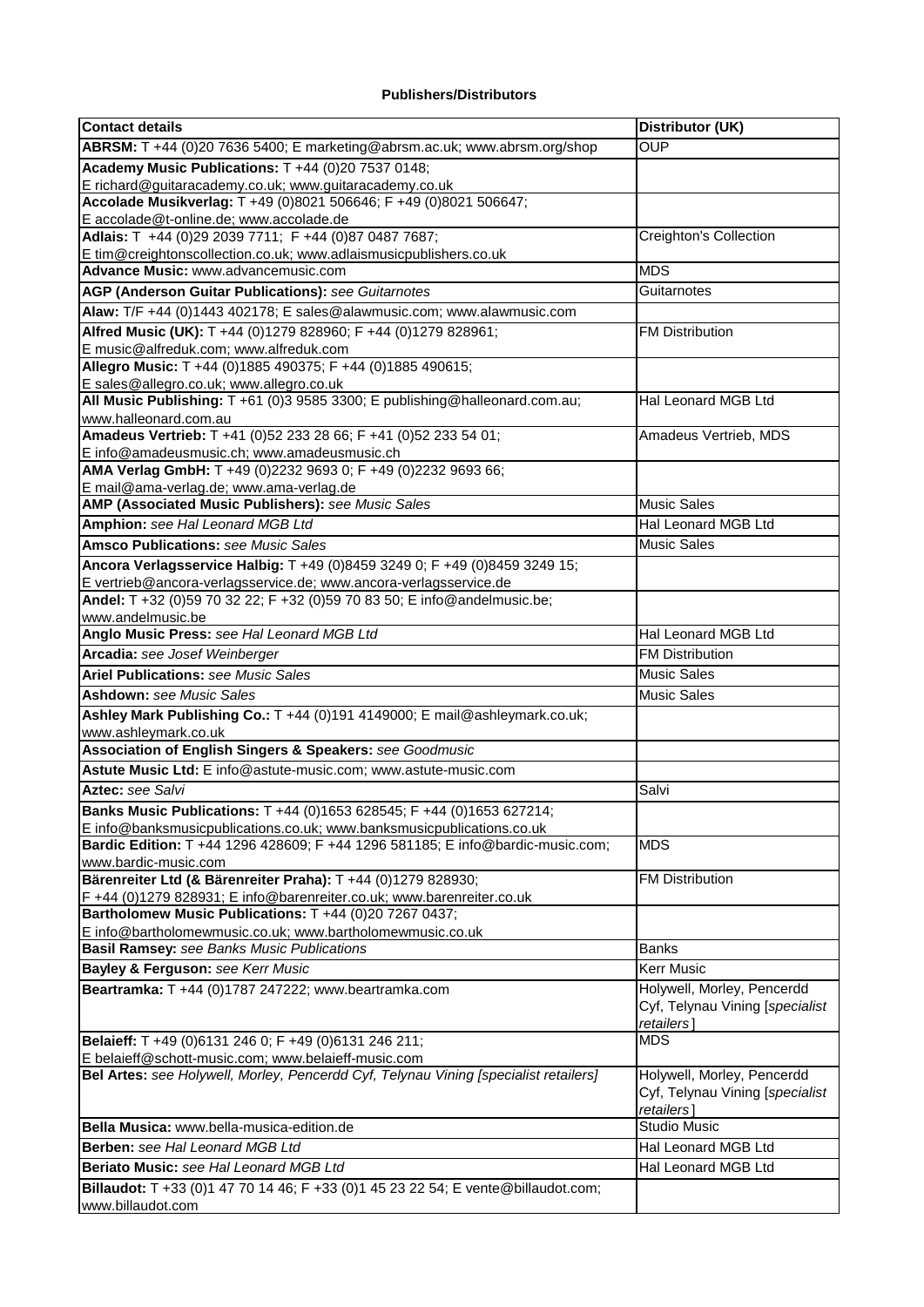## **Publishers/Distributors**

| <b>Contact details</b>                                                                                                                          | Distributor (UK)                |
|-------------------------------------------------------------------------------------------------------------------------------------------------|---------------------------------|
| ABRSM: T +44 (0)20 7636 5400; E marketing@abrsm.ac.uk; www.abrsm.org/shop                                                                       | <b>OUP</b>                      |
| Academy Music Publications: T +44 (0)20 7537 0148;                                                                                              |                                 |
| E richard@guitaracademy.co.uk; www.guitaracademy.co.uk                                                                                          |                                 |
| Accolade Musikverlag: T +49 (0)8021 506646; F +49 (0)8021 506647;                                                                               |                                 |
| E accolade@t-online.de; www.accolade.de                                                                                                         |                                 |
| Adlais: T +44 (0)29 2039 7711; F +44 (0)87 0487 7687;                                                                                           | Creighton's Collection          |
| E tim@creightonscollection.co.uk; www.adlaismusicpublishers.co.uk<br>Advance Music: www.advancemusic.com                                        | <b>MDS</b>                      |
| AGP (Anderson Guitar Publications): see Guitarnotes                                                                                             | Guitarnotes                     |
| Alaw: T/F +44 (0)1443 402178; E sales@alawmusic.com; www.alawmusic.com                                                                          |                                 |
| Alfred Music (UK): T +44 (0)1279 828960; F +44 (0)1279 828961;                                                                                  | <b>FM Distribution</b>          |
| E music@alfreduk.com; www.alfreduk.com                                                                                                          |                                 |
| Allegro Music: T +44 (0)1885 490375; F +44 (0)1885 490615;                                                                                      |                                 |
| E sales@allegro.co.uk; www.allegro.co.uk                                                                                                        |                                 |
| All Music Publishing: T +61 (0)3 9585 3300; E publishing@halleonard.com.au;                                                                     | Hal Leonard MGB Ltd             |
| www.halleonard.com.au                                                                                                                           |                                 |
| Amadeus Vertrieb: T +41 (0)52 233 28 66; F +41 (0)52 233 54 01;                                                                                 | Amadeus Vertrieb, MDS           |
| E info@amadeusmusic.ch; www.amadeusmusic.ch                                                                                                     |                                 |
| AMA Verlag GmbH: T +49 (0)2232 9693 0; F +49 (0)2232 9693 66;                                                                                   |                                 |
| E mail@ama-verlag.de; www.ama-verlag.de<br>AMP (Associated Music Publishers): see Music Sales                                                   | <b>Music Sales</b>              |
| Amphion: see Hal Leonard MGB Ltd                                                                                                                | Hal Leonard MGB Ltd             |
| <b>Amsco Publications: see Music Sales</b>                                                                                                      | <b>Music Sales</b>              |
|                                                                                                                                                 |                                 |
| Ancora Verlagsservice Halbig: T +49 (0)8459 3249 0; F +49 (0)8459 3249 15;<br>E vertrieb@ancora-verlagsservice.de; www.ancora-verlagsservice.de |                                 |
| Andel: T +32 (0)59 70 32 22; F +32 (0)59 70 83 50; E info@andelmusic.be;                                                                        |                                 |
| www.andelmusic.be                                                                                                                               |                                 |
| Anglo Music Press: see Hal Leonard MGB Ltd                                                                                                      | Hal Leonard MGB Ltd             |
| Arcadia: see Josef Weinberger                                                                                                                   | <b>FM Distribution</b>          |
| <b>Ariel Publications: see Music Sales</b>                                                                                                      | <b>Music Sales</b>              |
| <b>Ashdown:</b> see Music Sales                                                                                                                 | <b>Music Sales</b>              |
| Ashley Mark Publishing Co.: T +44 (0)191 4149000; E mail@ashleymark.co.uk;                                                                      |                                 |
| www.ashleymark.co.uk                                                                                                                            |                                 |
| Association of English Singers & Speakers: see Goodmusic                                                                                        |                                 |
| Astute Music Ltd: E info@astute-music.com; www.astute-music.com                                                                                 |                                 |
| Aztec: see Salvi                                                                                                                                | Salvi                           |
| Banks Music Publications: T +44 (0)1653 628545; F +44 (0)1653 627214;                                                                           |                                 |
| E info@banksmusicpublications.co.uk; www.banksmusicpublications.co.uk                                                                           |                                 |
| Bardic Edition: T +44 1296 428609; F +44 1296 581185; E info@bardic-music.com;                                                                  | <b>MDS</b>                      |
| www.bardic-music.com                                                                                                                            |                                 |
| Bärenreiter Ltd (& Bärenreiter Praha): T +44 (0)1279 828930;                                                                                    | <b>FM Distribution</b>          |
| F +44 (0)1279 828931; E info@barenreiter.co.uk; www.barenreiter.co.uk<br>Bartholomew Music Publications: T +44 (0)20 7267 0437;                 |                                 |
| E info@bartholomewmusic.co.uk; www.bartholomewmusic.co.uk                                                                                       |                                 |
| <b>Basil Ramsey:</b> see Banks Music Publications                                                                                               | <b>Banks</b>                    |
| Bayley & Ferguson: see Kerr Music                                                                                                               | <b>Kerr Music</b>               |
| Beartramka: T +44 (0)1787 247222; www.beartramka.com                                                                                            | Holywell, Morley, Pencerdd      |
|                                                                                                                                                 | Cyf, Telynau Vining [specialist |
|                                                                                                                                                 | retailers]                      |
| Belaieff: T +49 (0)6131 246 0; F +49 (0)6131 246 211;<br>E belaieff@schott-music.com; www.belaieff-music.com                                    | <b>MDS</b>                      |
| Bel Artes: see Holywell, Morley, Pencerdd Cyf, Telynau Vining [specialist retailers]                                                            | Holywell, Morley, Pencerdd      |
|                                                                                                                                                 | Cyf, Telynau Vining [specialist |
|                                                                                                                                                 | retailers]                      |
| Bella Musica: www.bella-musica-edition.de                                                                                                       | Studio Music                    |
| Berben: see Hal Leonard MGB Ltd                                                                                                                 | Hal Leonard MGB Ltd             |
| Beriato Music: see Hal Leonard MGB Ltd                                                                                                          | Hal Leonard MGB Ltd             |
| Billaudot: T +33 (0)1 47 70 14 46; F +33 (0)1 45 23 22 54; E vente@billaudot.com;                                                               |                                 |
| www.billaudot.com                                                                                                                               |                                 |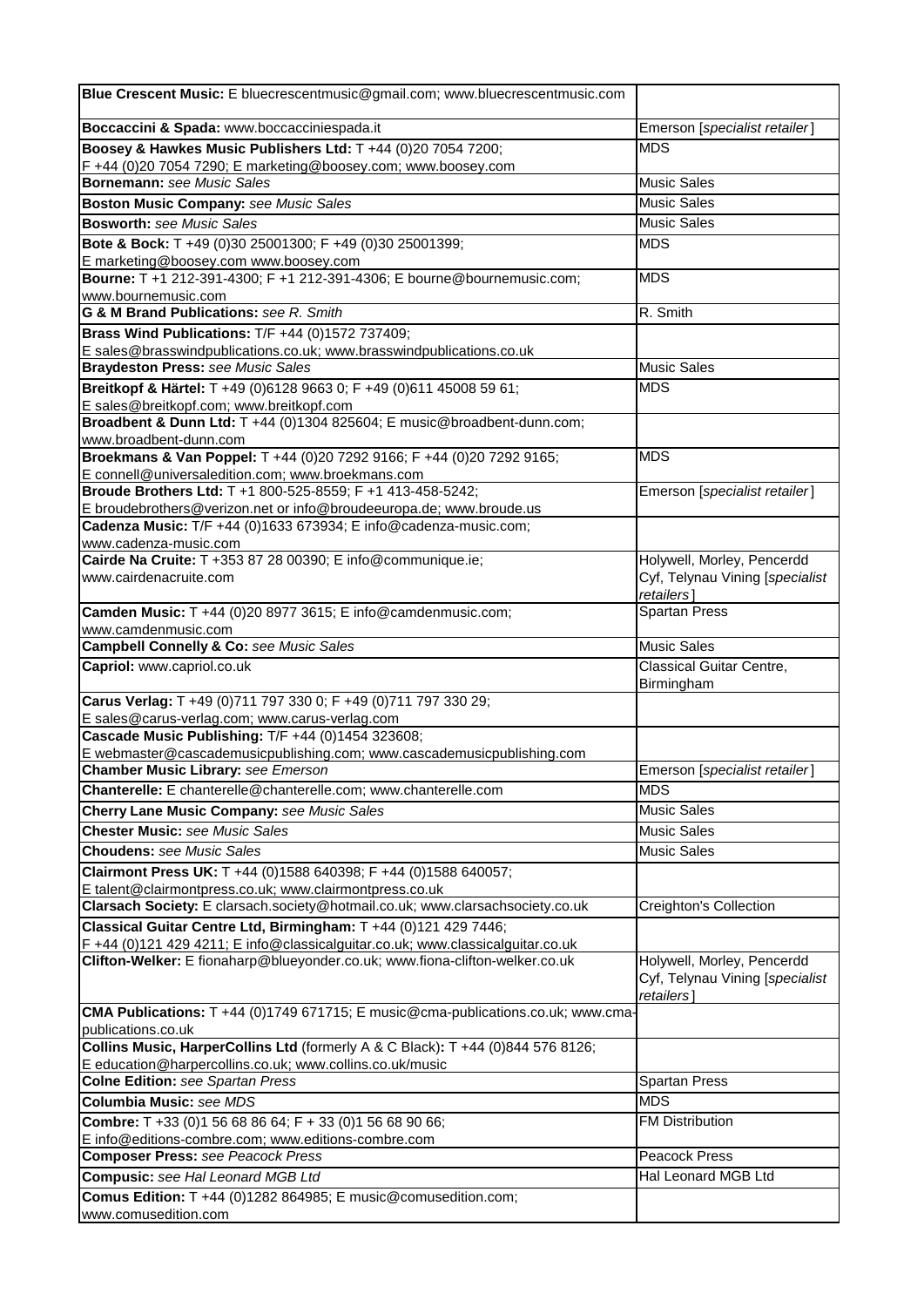| Blue Crescent Music: E bluecrescentmusic@gmail.com; www.bluecrescentmusic.com                                                                                  |                                               |
|----------------------------------------------------------------------------------------------------------------------------------------------------------------|-----------------------------------------------|
| Boccaccini & Spada: www.boccacciniespada.it                                                                                                                    | Emerson [specialist retailer]                 |
| Boosey & Hawkes Music Publishers Ltd: T +44 (0)20 7054 7200;                                                                                                   | <b>MDS</b>                                    |
| F+44 (0)20 7054 7290; E marketing@boosey.com; www.boosey.com                                                                                                   |                                               |
| <b>Bornemann:</b> see Music Sales                                                                                                                              | <b>Music Sales</b>                            |
| <b>Boston Music Company: see Music Sales</b>                                                                                                                   | <b>Music Sales</b>                            |
| <b>Bosworth: see Music Sales</b>                                                                                                                               | <b>Music Sales</b>                            |
| Bote & Bock: T +49 (0)30 25001300; F +49 (0)30 25001399;                                                                                                       | <b>MDS</b>                                    |
| E marketing@boosey.com www.boosey.com                                                                                                                          |                                               |
| Bourne: T +1 212-391-4300; F +1 212-391-4306; E bourne@bournemusic.com;<br>www.bournemusic.com                                                                 | <b>MDS</b>                                    |
| <b>G &amp; M Brand Publications:</b> see R. Smith                                                                                                              | R. Smith                                      |
| Brass Wind Publications: T/F +44 (0)1572 737409;                                                                                                               |                                               |
| E sales@brasswindpublications.co.uk; www.brasswindpublications.co.uk                                                                                           |                                               |
| <b>Braydeston Press: see Music Sales</b>                                                                                                                       | <b>Music Sales</b>                            |
| Breitkopf & Härtel: T +49 (0)6128 9663 0; F +49 (0)611 45008 59 61;                                                                                            | <b>MDS</b>                                    |
| E sales@breitkopf.com; www.breitkopf.com                                                                                                                       |                                               |
| Broadbent & Dunn Ltd: T +44 (0)1304 825604; E music@broadbent-dunn.com;                                                                                        |                                               |
| www.broadbent-dunn.com                                                                                                                                         |                                               |
| Broekmans & Van Poppel: T +44 (0)20 7292 9166; F +44 (0)20 7292 9165;                                                                                          | <b>MDS</b>                                    |
| E connell@universaledition.com; www.broekmans.com<br>Broude Brothers Ltd: T +1 800-525-8559; F +1 413-458-5242;                                                | Emerson [specialist retailer]                 |
| E broudebrothers@verizon.net or info@broudeeuropa.de; www.broude.us                                                                                            |                                               |
| Cadenza Music: T/F +44 (0)1633 673934; E info@cadenza-music.com;                                                                                               |                                               |
| www.cadenza-music.com                                                                                                                                          |                                               |
| Cairde Na Cruite: T +353 87 28 00390; E info@communique.ie;                                                                                                    | Holywell, Morley, Pencerdd                    |
| www.cairdenacruite.com                                                                                                                                         | Cyf, Telynau Vining [specialist<br>retailers] |
| Camden Music: T +44 (0)20 8977 3615; E info@camdenmusic.com;                                                                                                   | Spartan Press                                 |
| www.camdenmusic.com                                                                                                                                            |                                               |
| <b>Campbell Connelly &amp; Co: see Music Sales</b>                                                                                                             | <b>Music Sales</b>                            |
| Capriol: www.capriol.co.uk                                                                                                                                     | Classical Guitar Centre,<br>Birmingham        |
| Carus Verlag: T +49 (0)711 797 330 0; F +49 (0)711 797 330 29;                                                                                                 |                                               |
| E sales@carus-verlag.com; www.carus-verlag.com                                                                                                                 |                                               |
| Cascade Music Publishing: T/F +44 (0)1454 323608;                                                                                                              |                                               |
| E webmaster@cascademusicpublishing.com; www.cascademusicpublishing.com                                                                                         |                                               |
| <b>Chamber Music Library: see Emerson</b>                                                                                                                      | Emerson [specialist retailer]                 |
| Chanterelle: E chanterelle@chanterelle.com; www.chanterelle.com                                                                                                | <b>MDS</b>                                    |
| <b>Cherry Lane Music Company: see Music Sales</b>                                                                                                              | <b>Music Sales</b>                            |
| <b>Chester Music:</b> see Music Sales                                                                                                                          | <b>Music Sales</b>                            |
| <b>Choudens: see Music Sales</b>                                                                                                                               | <b>Music Sales</b>                            |
| Clairmont Press UK: T +44 (0)1588 640398; F +44 (0)1588 640057;                                                                                                |                                               |
| E talent@clairmontpress.co.uk; www.clairmontpress.co.uk                                                                                                        |                                               |
| Clarsach Society: E clarsach.society@hotmail.co.uk; www.clarsachsociety.co.uk                                                                                  | <b>Creighton's Collection</b>                 |
| Classical Guitar Centre Ltd, Birmingham: T +44 (0)121 429 7446;                                                                                                |                                               |
| F +44 (0)121 429 4211; E info@classicalguitar.co.uk; www.classicalguitar.co.uk<br>Clifton-Welker: E fionaharp@blueyonder.co.uk; www.fiona-clifton-welker.co.uk | Holywell, Morley, Pencerdd                    |
|                                                                                                                                                                | Cyf, Telynau Vining [specialist<br>retailers] |
| CMA Publications: T +44 (0)1749 671715; E music@cma-publications.co.uk; www.cma-                                                                               |                                               |
| publications.co.uk                                                                                                                                             |                                               |
| Collins Music, HarperCollins Ltd (formerly A & C Black): T +44 (0)844 576 8126;                                                                                |                                               |
| E education@harpercollins.co.uk; www.collins.co.uk/music                                                                                                       |                                               |
| <b>Colne Edition: see Spartan Press</b>                                                                                                                        | <b>Spartan Press</b>                          |
| <b>Columbia Music: see MDS</b>                                                                                                                                 | <b>MDS</b>                                    |
| Combre: T +33 (0)1 56 68 86 64; F + 33 (0)1 56 68 90 66;<br>E info@editions-combre.com; www.editions-combre.com                                                | <b>FM Distribution</b>                        |
| <b>Composer Press: see Peacock Press</b>                                                                                                                       | Peacock Press                                 |
| Compusic: see Hal Leonard MGB Ltd                                                                                                                              | Hal Leonard MGB Ltd                           |
| Comus Edition: T +44 (0)1282 864985; E music@comusedition.com;                                                                                                 |                                               |
| www.comusedition.com                                                                                                                                           |                                               |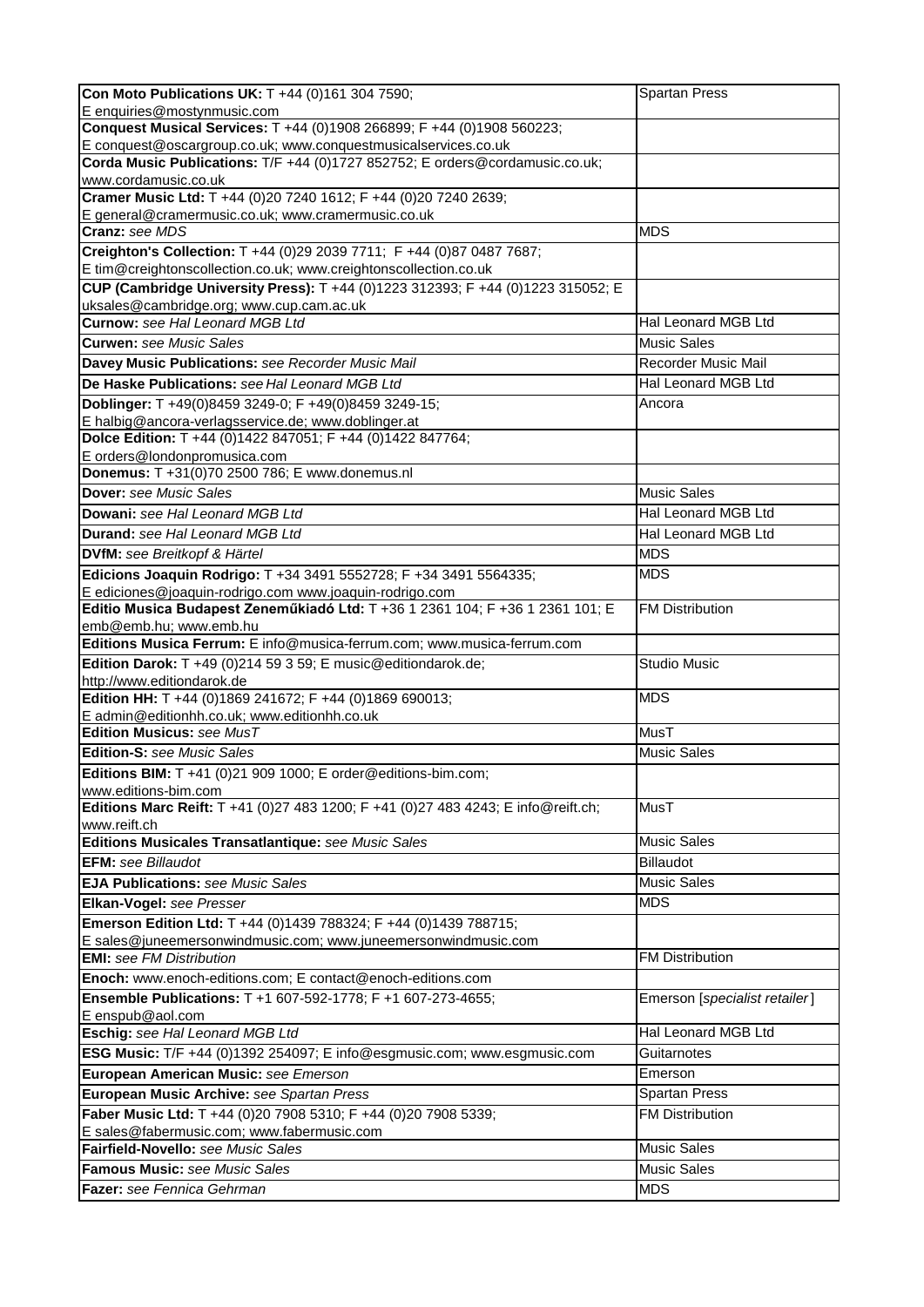| Con Moto Publications UK: T +44 (0)161 304 7590;                                                  | <b>Spartan Press</b>          |
|---------------------------------------------------------------------------------------------------|-------------------------------|
| E enquiries@mostynmusic.com                                                                       |                               |
| Conquest Musical Services: T +44 (0)1908 266899; F +44 (0)1908 560223;                            |                               |
| E conquest@oscargroup.co.uk; www.conquestmusicalservices.co.uk                                    |                               |
| Corda Music Publications: T/F +44 (0)1727 852752; E orders@cordamusic.co.uk;                      |                               |
| www.cordamusic.co.uk<br>Cramer Music Ltd: T +44 (0)20 7240 1612; F +44 (0)20 7240 2639;           |                               |
| E general@cramermusic.co.uk; www.cramermusic.co.uk                                                |                               |
| <b>Cranz:</b> see MDS                                                                             | <b>MDS</b>                    |
| Creighton's Collection: T +44 (0)29 2039 7711; F +44 (0)87 0487 7687;                             |                               |
| E tim@creightonscollection.co.uk; www.creightonscollection.co.uk                                  |                               |
| CUP (Cambridge University Press): T +44 (0)1223 312393; F +44 (0)1223 315052; E                   |                               |
| uksales@cambridge.org; www.cup.cam.ac.uk                                                          |                               |
| <b>Curnow:</b> see Hal Leonard MGB Ltd                                                            | Hal Leonard MGB Ltd           |
| <b>Curwen: see Music Sales</b>                                                                    | <b>Music Sales</b>            |
| Davey Music Publications: see Recorder Music Mail                                                 | Recorder Music Mail           |
| De Haske Publications: see Hal Leonard MGB Ltd                                                    | Hal Leonard MGB Ltd           |
| Doblinger: T +49(0)8459 3249-0; F +49(0)8459 3249-15;                                             | Ancora                        |
| E halbig@ancora-verlagsservice.de; www.doblinger.at                                               |                               |
| Dolce Edition: T +44 (0)1422 847051; F +44 (0)1422 847764;                                        |                               |
| E orders@londonpromusica.com                                                                      |                               |
| Donemus: T +31(0)70 2500 786; E www.donemus.nl                                                    |                               |
| Dover: see Music Sales                                                                            | <b>Music Sales</b>            |
| Dowani: see Hal Leonard MGB Ltd                                                                   | Hal Leonard MGB Ltd           |
| Durand: see Hal Leonard MGB Ltd                                                                   | Hal Leonard MGB Ltd           |
| <b>DVfM:</b> see Breitkopf & Härtel                                                               | <b>MDS</b>                    |
| Edicions Joaquin Rodrigo: T +34 3491 5552728; F +34 3491 5564335;                                 | <b>MDS</b>                    |
| E ediciones@joaquin-rodrigo.com www.joaquin-rodrigo.com                                           |                               |
| Editio Musica Budapest Zeneműkiadó Ltd: T +36 1 2361 104; F +36 1 2361 101; E                     | <b>FM Distribution</b>        |
| emb@emb.hu; www.emb.hu<br>Editions Musica Ferrum: E info@musica-ferrum.com; www.musica-ferrum.com |                               |
| Edition Darok: T +49 (0)214 59 3 59; E music@editiondarok.de;                                     | <b>Studio Music</b>           |
| http://www.editiondarok.de                                                                        |                               |
| Edition HH: T +44 (0)1869 241672; F +44 (0)1869 690013;                                           | <b>MDS</b>                    |
| E admin@editionhh.co.uk; www.editionhh.co.uk                                                      |                               |
| <b>Edition Musicus:</b> see $M\!u$ sT                                                             | <b>MusT</b>                   |
| Edition-S: see Music Sales                                                                        | <b>Music Sales</b>            |
| Editions BIM: T +41 (0)21 909 1000; E order@editions-bim.com;                                     |                               |
| www.editions-bim.com                                                                              |                               |
| Editions Marc Reift: T +41 (0)27 483 1200; F +41 (0)27 483 4243; E info@reift.ch;                 | MusT                          |
| www.reift.ch<br>Editions Musicales Transatlantique: see Music Sales                               | <b>Music Sales</b>            |
| <b>EFM:</b> see Billaudot                                                                         | <b>Billaudot</b>              |
| <b>EJA Publications: see Music Sales</b>                                                          | <b>Music Sales</b>            |
| Elkan-Vogel: see Presser                                                                          | <b>MDS</b>                    |
| Emerson Edition Ltd: T +44 (0)1439 788324; F +44 (0)1439 788715;                                  |                               |
| E sales@juneemersonwindmusic.com; www.juneemersonwindmusic.com                                    |                               |
| <b>EMI:</b> see FM Distribution                                                                   | <b>FM Distribution</b>        |
| Enoch: www.enoch-editions.com; E contact@enoch-editions.com                                       |                               |
| Ensemble Publications: T +1 607-592-1778; F +1 607-273-4655;                                      | Emerson [specialist retailer] |
| E enspub@aol.com                                                                                  |                               |
| Eschig: see Hal Leonard MGB Ltd                                                                   | Hal Leonard MGB Ltd           |
| ESG Music: T/F +44 (0)1392 254097; E info@esgmusic.com; www.esgmusic.com                          | Guitarnotes                   |
| European American Music: see Emerson                                                              | Emerson                       |
| European Music Archive: see Spartan Press                                                         | <b>Spartan Press</b>          |
| Faber Music Ltd: T +44 (0)20 7908 5310; F +44 (0)20 7908 5339;                                    | <b>FM Distribution</b>        |
| E sales@fabermusic.com; www.fabermusic.com                                                        |                               |
| Fairfield-Novello: see Music Sales                                                                | <b>Music Sales</b>            |
| <b>Famous Music:</b> see Music Sales                                                              | <b>Music Sales</b>            |
| Fazer: see Fennica Gehrman                                                                        | <b>MDS</b>                    |
|                                                                                                   |                               |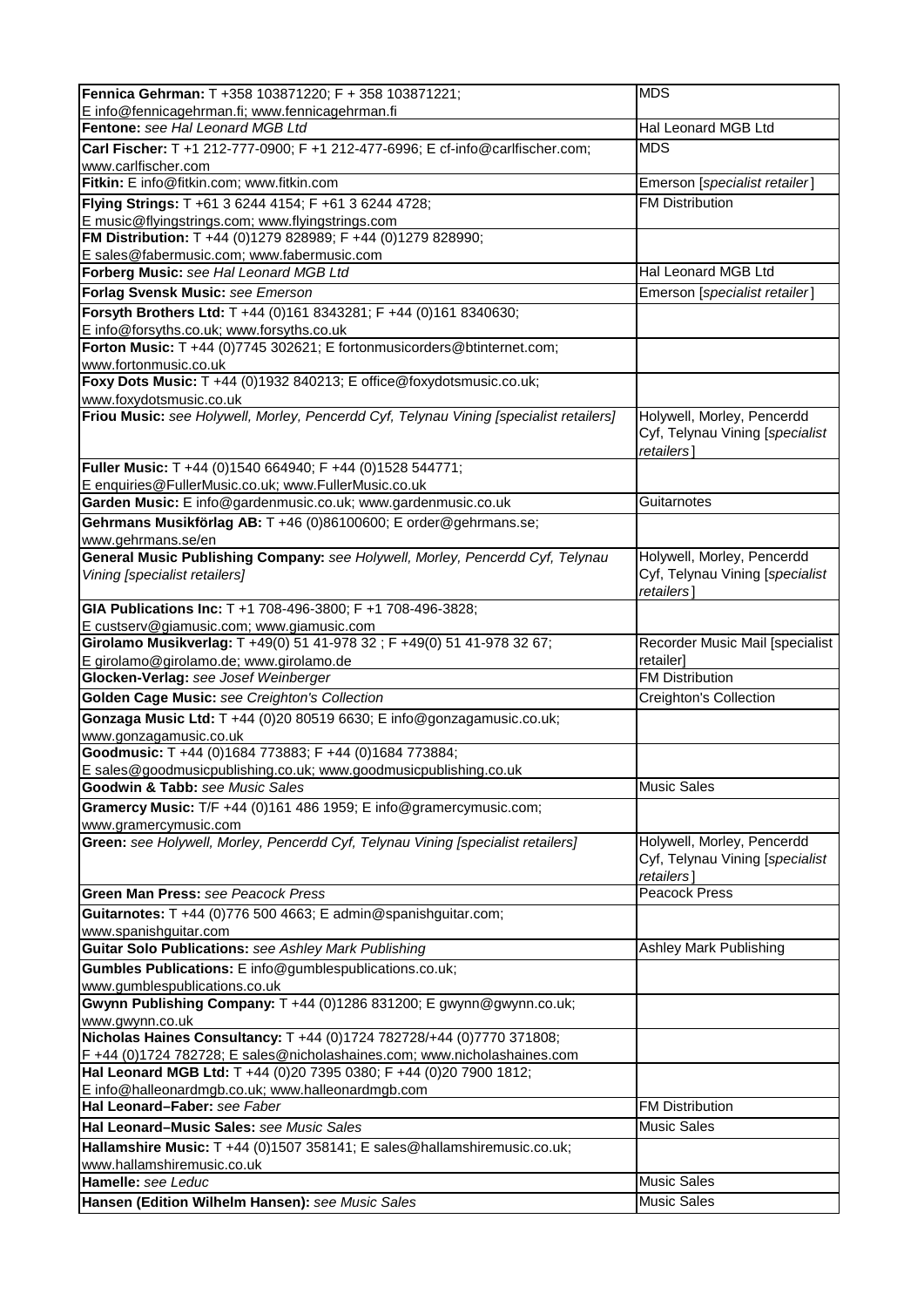| Fennica Gehrman: T +358 103871220; F + 358 103871221;                                                                                             | <b>MDS</b>                                                                  |
|---------------------------------------------------------------------------------------------------------------------------------------------------|-----------------------------------------------------------------------------|
| E info@fennicagehrman.fi; www.fennicagehrman.fi                                                                                                   |                                                                             |
| Fentone: see Hal Leonard MGB Ltd                                                                                                                  | Hal Leonard MGB Ltd                                                         |
| Carl Fischer: T +1 212-777-0900; F +1 212-477-6996; E cf-info@carlfischer.com;<br>www.carlfischer.com                                             | <b>MDS</b>                                                                  |
| Fitkin: E info@fitkin.com; www.fitkin.com                                                                                                         | Emerson [specialist retailer]                                               |
| Flying Strings: T +61 3 6244 4154; F +61 3 6244 4728;                                                                                             | <b>FM Distribution</b>                                                      |
| E music@flyingstrings.com; www.flyingstrings.com                                                                                                  |                                                                             |
| FM Distribution: T +44 (0)1279 828989; F +44 (0)1279 828990;                                                                                      |                                                                             |
| E sales@fabermusic.com; www.fabermusic.com                                                                                                        |                                                                             |
| Forberg Music: see Hal Leonard MGB Ltd                                                                                                            | Hal Leonard MGB Ltd                                                         |
| Forlag Svensk Music: see Emerson                                                                                                                  | Emerson [specialist retailer]                                               |
| Forsyth Brothers Ltd: T +44 (0)161 8343281; F +44 (0)161 8340630;                                                                                 |                                                                             |
| E info@forsyths.co.uk; www.forsyths.co.uk<br>Forton Music: T +44 (0)7745 302621; E fortonmusicorders@btinternet.com;                              |                                                                             |
| www.fortonmusic.co.uk                                                                                                                             |                                                                             |
| Foxy Dots Music: T +44 (0)1932 840213; E office@foxydotsmusic.co.uk;                                                                              |                                                                             |
| www.foxydotsmusic.co.uk                                                                                                                           |                                                                             |
| Friou Music: see Holywell, Morley, Pencerdd Cyf, Telynau Vining [specialist retailers]                                                            | Holywell, Morley, Pencerdd                                                  |
|                                                                                                                                                   | Cyf, Telynau Vining [specialist<br>retailers]                               |
| Fuller Music: T +44 (0)1540 664940; F +44 (0)1528 544771;                                                                                         |                                                                             |
| E enquiries@FullerMusic.co.uk; www.FullerMusic.co.uk                                                                                              |                                                                             |
| Garden Music: E info@gardenmusic.co.uk; www.gardenmusic.co.uk                                                                                     | Guitarnotes                                                                 |
| Gehrmans Musikförlag AB: T +46 (0)86100600; E order@gehrmans.se;                                                                                  |                                                                             |
| www.gehrmans.se/en                                                                                                                                |                                                                             |
| General Music Publishing Company: see Holywell, Morley, Pencerdd Cyf, Telynau                                                                     | Holywell, Morley, Pencerdd                                                  |
| Vining [specialist retailers]                                                                                                                     | Cyf, Telynau Vining [specialist<br>retailers]                               |
| GIA Publications Inc: T +1 708-496-3800; F +1 708-496-3828;                                                                                       |                                                                             |
| E custserv@giamusic.com; www.giamusic.com<br>Girolamo Musikverlag: T +49(0) 51 41-978 32 ; F +49(0) 51 41-978 32 67;                              | Recorder Music Mail [specialist                                             |
| E girolamo@girolamo.de; www.girolamo.de                                                                                                           | retailer]                                                                   |
| Glocken-Verlag: see Josef Weinberger                                                                                                              | <b>FM Distribution</b>                                                      |
| <b>Golden Cage Music: see Creighton's Collection</b>                                                                                              | Creighton's Collection                                                      |
| Gonzaga Music Ltd: T +44 (0)20 80519 6630; E info@gonzagamusic.co.uk;                                                                             |                                                                             |
| www.gonzagamusic.co.uk                                                                                                                            |                                                                             |
| Goodmusic: T +44 (0)1684 773883; F +44 (0)1684 773884;                                                                                            |                                                                             |
| E sales@goodmusicpublishing.co.uk; www.goodmusicpublishing.co.uk                                                                                  |                                                                             |
| Goodwin & Tabb: see Music Sales                                                                                                                   | <b>Music Sales</b>                                                          |
| Gramercy Music: T/F +44 (0)161 486 1959; E info@gramercymusic.com;                                                                                |                                                                             |
| www.gramercymusic.com                                                                                                                             |                                                                             |
| Green: see Holywell, Morley, Pencerdd Cyf, Telynau Vining [specialist retailers]                                                                  | Holywell, Morley, Pencerdd<br>Cyf, Telynau Vining [specialist<br>retailers] |
| Green Man Press: see Peacock Press                                                                                                                | <b>Peacock Press</b>                                                        |
| Guitarnotes: T +44 (0)776 500 4663; E admin@spanishguitar.com;                                                                                    |                                                                             |
| www.spanishguitar.com                                                                                                                             |                                                                             |
| <b>Guitar Solo Publications:</b> see Ashley Mark Publishing                                                                                       | <b>Ashley Mark Publishing</b>                                               |
| Gumbles Publications: E info@gumblespublications.co.uk;                                                                                           |                                                                             |
| www.gumblespublications.co.uk<br>Gwynn Publishing Company: T +44 (0)1286 831200; E gwynn@gwynn.co.uk;                                             |                                                                             |
| www.gwynn.co.uk                                                                                                                                   |                                                                             |
| Nicholas Haines Consultancy: T +44 (0)1724 782728/+44 (0)7770 371808;<br>F +44 (0)1724 782728; E sales@nicholashaines.com; www.nicholashaines.com |                                                                             |
| Hal Leonard MGB Ltd: T +44 (0)20 7395 0380; F +44 (0)20 7900 1812;<br>E info@halleonardmgb.co.uk; www.halleonardmgb.com                           |                                                                             |
| Hal Leonard-Faber: see Faber                                                                                                                      | <b>FM Distribution</b>                                                      |
| Hal Leonard-Music Sales: see Music Sales                                                                                                          | <b>Music Sales</b>                                                          |
|                                                                                                                                                   |                                                                             |
| Hallamshire Music: T +44 (0)1507 358141; E sales@hallamshiremusic.co.uk;<br>www.hallamshiremusic.co.uk                                            |                                                                             |
| Hamelle: see Leduc                                                                                                                                | <b>Music Sales</b>                                                          |
| Hansen (Edition Wilhelm Hansen): see Music Sales                                                                                                  | <b>Music Sales</b>                                                          |
|                                                                                                                                                   |                                                                             |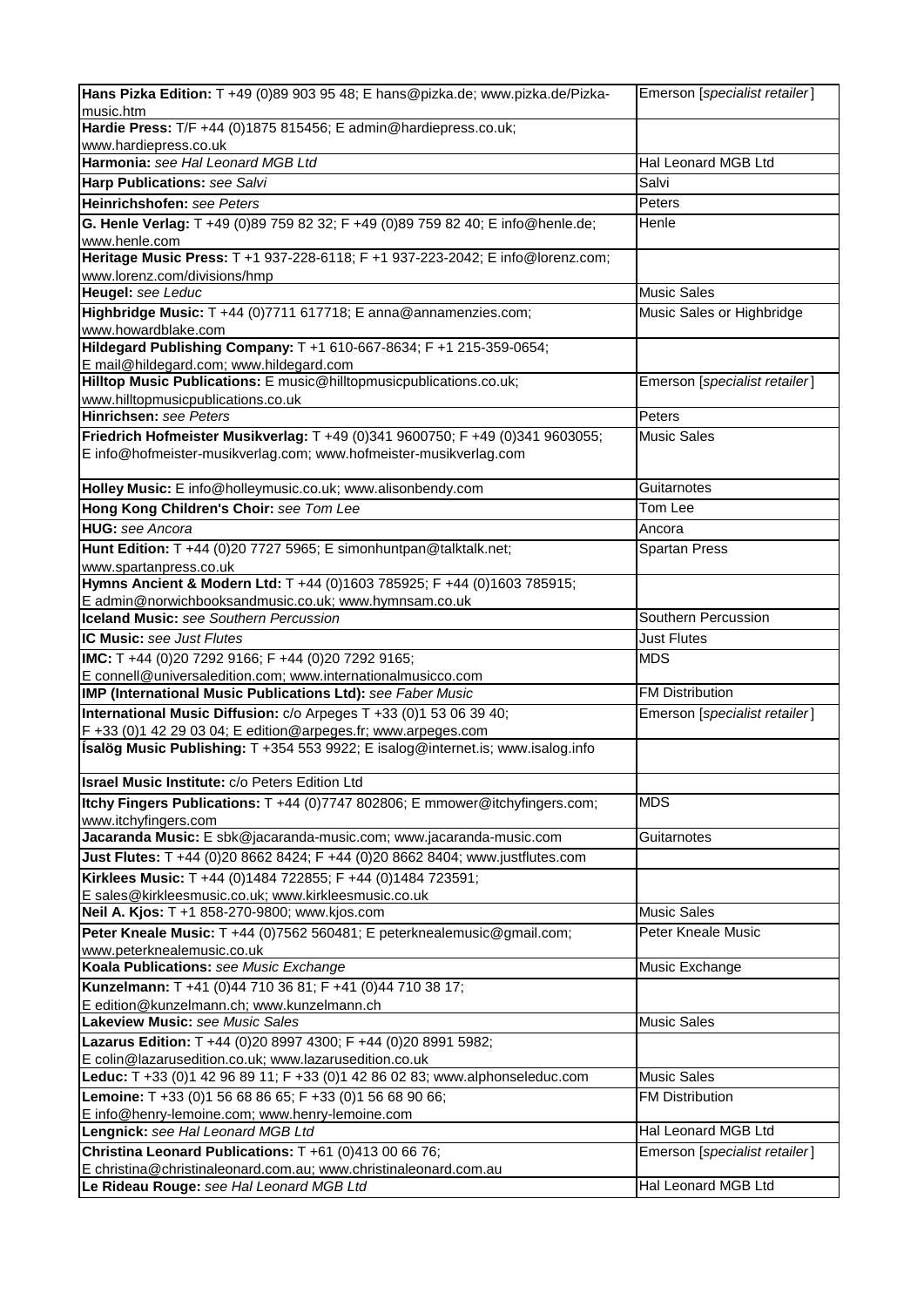| Hans Pizka Edition: T +49 (0)89 903 95 48; E hans@pizka.de; www.pizka.de/Pizka-                                             | Emerson [specialist retailer] |
|-----------------------------------------------------------------------------------------------------------------------------|-------------------------------|
| music.htm                                                                                                                   |                               |
| Hardie Press: T/F +44 (0)1875 815456; E admin@hardiepress.co.uk;                                                            |                               |
| www.hardiepress.co.uk                                                                                                       |                               |
| Harmonia: see Hal Leonard MGB Ltd                                                                                           | Hal Leonard MGB Ltd           |
| Harp Publications: see Salvi                                                                                                | Salvi                         |
| Heinrichshofen: see Peters                                                                                                  | Peters                        |
| G. Henle Verlag: T +49 (0)89 759 82 32; F +49 (0)89 759 82 40; E info@henle.de;<br>www.henle.com                            | Henle                         |
| Heritage Music Press: T +1 937-228-6118; F +1 937-223-2042; E info@lorenz.com;<br>www.lorenz.com/divisions/hmp              |                               |
| Heugel: see Leduc                                                                                                           | <b>Music Sales</b>            |
| Highbridge Music: T +44 (0)7711 617718; E anna@annamenzies.com;                                                             | Music Sales or Highbridge     |
| www.howardblake.com                                                                                                         |                               |
| Hildegard Publishing Company: T +1 610-667-8634; F +1 215-359-0654;                                                         |                               |
| E mail@hildegard.com; www.hildegard.com<br>Hilltop Music Publications: E music@hilltopmusicpublications.co.uk;              |                               |
| www.hilltopmusicpublications.co.uk                                                                                          | Emerson [specialist retailer] |
| <b>Hinrichsen:</b> see Peters                                                                                               | Peters                        |
| Friedrich Hofmeister Musikverlag: T +49 (0)341 9600750; F +49 (0)341 9603055;                                               | <b>Music Sales</b>            |
| E info@hofmeister-musikverlag.com; www.hofmeister-musikverlag.com                                                           |                               |
| Holley Music: E info@holleymusic.co.uk; www.alisonbendy.com                                                                 | Guitarnotes                   |
| Hong Kong Children's Choir: see Tom Lee                                                                                     | Tom Lee                       |
| <b>HUG:</b> see Ancora                                                                                                      | Ancora                        |
| Hunt Edition: T +44 (0)20 7727 5965; E simonhuntpan@talktalk.net;                                                           | <b>Spartan Press</b>          |
| www.spartanpress.co.uk                                                                                                      |                               |
| Hymns Ancient & Modern Ltd: T +44 (0)1603 785925; F +44 (0)1603 785915;                                                     |                               |
| E admin@norwichbooksandmusic.co.uk; www.hymnsam.co.uk<br><b>Iceland Music:</b> see Southern Percussion                      | Southern Percussion           |
|                                                                                                                             |                               |
| <b>IC Music:</b> see Just Flutes                                                                                            | <b>Just Flutes</b>            |
| IMC: T +44 (0)20 7292 9166; F +44 (0)20 7292 9165;                                                                          | <b>MDS</b>                    |
| E connell@universaledition.com; www.internationalmusicco.com<br>IMP (International Music Publications Ltd): see Faber Music | <b>FM Distribution</b>        |
| International Music Diffusion: c/o Arpeges T +33 (0)1 53 06 39 40;                                                          | Emerson [specialist retailer] |
| F +33 (0)1 42 29 03 04; E edition@arpeges.fr; www.arpeges.com                                                               |                               |
| Ísalög Music Publishing: T +354 553 9922; E isalog@internet.is; www.isalog.info                                             |                               |
| <b>Israel Music Institute:</b> C/O Peters Edition Ltd                                                                       |                               |
| Itchy Fingers Publications: T +44 (0)7747 802806; E mmower@itchyfingers.com;                                                | <b>MDS</b>                    |
| www.itchyfingers.com                                                                                                        |                               |
| Jacaranda Music: E sbk@jacaranda-music.com; www.jacaranda-music.com                                                         | Guitarnotes                   |
| Just Flutes: T +44 (0)20 8662 8424; F +44 (0)20 8662 8404; www.justflutes.com                                               |                               |
| Kirklees Music: T +44 (0)1484 722855; F +44 (0)1484 723591;                                                                 |                               |
| E sales@kirkleesmusic.co.uk; www.kirkleesmusic.co.uk                                                                        |                               |
| Neil A. Kjos: T +1 858-270-9800; www.kjos.com                                                                               | <b>Music Sales</b>            |
| Peter Kneale Music: T +44 (0)7562 560481; E peterknealemusic@gmail.com;<br>www.peterknealemusic.co.uk                       | Peter Kneale Music            |
| Koala Publications: see Music Exchange                                                                                      | Music Exchange                |
| Kunzelmann: T +41 (0)44 710 36 81; F +41 (0)44 710 38 17;                                                                   |                               |
| E edition@kunzelmann.ch; www.kunzelmann.ch                                                                                  |                               |
| Lakeview Music: see Music Sales                                                                                             | <b>Music Sales</b>            |
| Lazarus Edition: T +44 (0)20 8997 4300; F +44 (0)20 8991 5982;                                                              |                               |
| E colin@lazarusedition.co.uk; www.lazarusedition.co.uk                                                                      |                               |
| Leduc: T +33 (0)1 42 96 89 11; F +33 (0)1 42 86 02 83; www.alphonseleduc.com                                                | <b>Music Sales</b>            |
| Lemoine: T +33 (0)1 56 68 86 65; F +33 (0)1 56 68 90 66;                                                                    | FM Distribution               |
| E info@henry-lemoine.com; www.henry-lemoine.com                                                                             |                               |
| Lengnick: see Hal Leonard MGB Ltd                                                                                           | Hal Leonard MGB Ltd           |
| Christina Leonard Publications: T +61 (0)413 00 66 76;                                                                      | Emerson [specialist retailer] |
| E christina@christinaleonard.com.au; www.christinaleonard.com.au                                                            |                               |
| Le Rideau Rouge: see Hal Leonard MGB Ltd                                                                                    | Hal Leonard MGB Ltd           |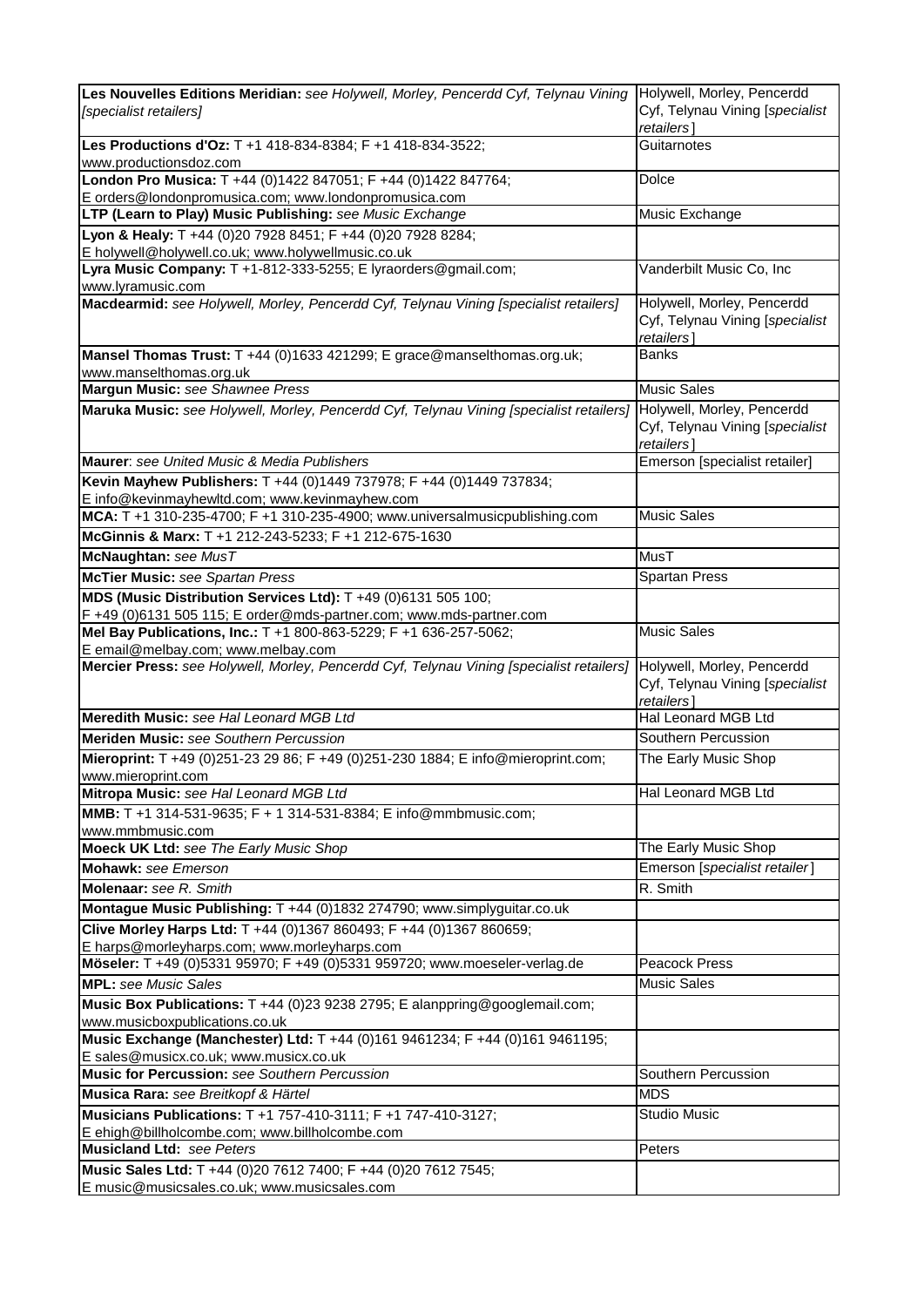| Les Nouvelles Editions Meridian: see Holywell, Morley, Pencerdd Cyf, Telynau Vining<br>[specialist retailers]        | Holywell, Morley, Pencerdd<br>Cyf, Telynau Vining [specialist               |
|----------------------------------------------------------------------------------------------------------------------|-----------------------------------------------------------------------------|
|                                                                                                                      | retailers]                                                                  |
| Les Productions d'Oz: T +1 418-834-8384; F +1 418-834-3522;<br>www.productionsdoz.com                                | Guitarnotes                                                                 |
| London Pro Musica: T +44 (0)1422 847051; F +44 (0)1422 847764;                                                       | Dolce                                                                       |
| E orders@londonpromusica.com; www.londonpromusica.com                                                                |                                                                             |
| LTP (Learn to Play) Music Publishing: see Music Exchange                                                             | Music Exchange                                                              |
| Lyon & Healy: T +44 (0)20 7928 8451; F +44 (0)20 7928 8284;                                                          |                                                                             |
| E holywell@holywell.co.uk; www.holywellmusic.co.uk<br>Lyra Music Company: T +1-812-333-5255; E lyraorders@gmail.com; | Vanderbilt Music Co, Inc                                                    |
| www.lyramusic.com                                                                                                    |                                                                             |
| Macdearmid: see Holywell, Morley, Pencerdd Cyf, Telynau Vining [specialist retailers]                                | Holywell, Morley, Pencerdd                                                  |
|                                                                                                                      | Cyf, Telynau Vining [specialist<br>retailers]                               |
| Mansel Thomas Trust: T +44 (0)1633 421299; E grace@manselthomas.org.uk;                                              | <b>Banks</b>                                                                |
| www.manselthomas.org.uk                                                                                              |                                                                             |
| Margun Music: see Shawnee Press                                                                                      | <b>Music Sales</b>                                                          |
| Maruka Music: see Holywell, Morley, Pencerdd Cyf, Telynau Vining [specialist retailers]                              | Holywell, Morley, Pencerdd<br>Cyf, Telynau Vining [specialist<br>retailers] |
| Maurer: see United Music & Media Publishers                                                                          | Emerson [specialist retailer]                                               |
| Kevin Mayhew Publishers: T +44 (0)1449 737978; F +44 (0)1449 737834;                                                 |                                                                             |
| E info@kevinmayhewltd.com; www.kevinmayhew.com                                                                       |                                                                             |
| MCA: T +1 310-235-4700; F +1 310-235-4900; www.universalmusicpublishing.com                                          | <b>Music Sales</b>                                                          |
| McGinnis & Marx: T +1 212-243-5233; F +1 212-675-1630                                                                |                                                                             |
| McNaughtan: see MusT                                                                                                 | <b>MusT</b>                                                                 |
| <b>McTier Music:</b> see Spartan Press                                                                               | Spartan Press                                                               |
| MDS (Music Distribution Services Ltd): T +49 (0)6131 505 100;                                                        |                                                                             |
| F +49 (0)6131 505 115; E order@mds-partner.com; www.mds-partner.com                                                  |                                                                             |
| Mel Bay Publications, Inc.: T +1 800-863-5229; F +1 636-257-5062;<br>E email@melbay.com; www.melbay.com              | <b>Music Sales</b>                                                          |
| Mercier Press: see Holywell, Morley, Pencerdd Cyf, Telynau Vining [specialist retailers]                             | Holywell, Morley, Pencerdd<br>Cyf, Telynau Vining [specialist<br>retailers] |
| Meredith Music: see Hal Leonard MGB Ltd                                                                              | Hal Leonard MGB Ltd                                                         |
| Meriden Music: see Southern Percussion                                                                               | Southern Percussion                                                         |
| Mieroprint: T +49 (0)251-23 29 86; F +49 (0)251-230 1884; E info@mieroprint.com;                                     | The Early Music Shop                                                        |
| www.mieroprint.com<br>Mitropa Music: see Hal Leonard MGB Ltd                                                         | Hal Leonard MGB Ltd                                                         |
| MMB: T +1 314-531-9635; F + 1 314-531-8384; E info@mmbmusic.com;                                                     |                                                                             |
| www.mmbmusic.com                                                                                                     |                                                                             |
| <b>Moeck UK Ltd:</b> see The Early Music Shop                                                                        | The Early Music Shop                                                        |
| Mohawk: see Emerson                                                                                                  | Emerson [specialist retailer]                                               |
| Molenaar: see R. Smith                                                                                               | R. Smith                                                                    |
| Montague Music Publishing: T +44 (0)1832 274790; www.simplyguitar.co.uk                                              |                                                                             |
| Clive Morley Harps Ltd: T +44 (0)1367 860493; F +44 (0)1367 860659;<br>E harps@morleyharps.com; www.morleyharps.com  |                                                                             |
| Möseler: T +49 (0)5331 95970; F +49 (0)5331 959720; www.moeseler-verlag.de                                           | Peacock Press                                                               |
| <b>MPL:</b> see Music Sales                                                                                          | <b>Music Sales</b>                                                          |
| Music Box Publications: T +44 (0)23 9238 2795; E alanppring@googlemail.com;                                          |                                                                             |
| www.musicboxpublications.co.uk                                                                                       |                                                                             |
| Music Exchange (Manchester) Ltd: T +44 (0)161 9461234; F +44 (0)161 9461195:                                         |                                                                             |
| E sales@musicx.co.uk; www.musicx.co.uk                                                                               |                                                                             |
| <b>Music for Percussion:</b> see Southern Percussion                                                                 | Southern Percussion                                                         |
| Musica Rara: see Breitkopf & Härtel                                                                                  | <b>MDS</b>                                                                  |
| Musicians Publications: T +1 757-410-3111; F +1 747-410-3127;                                                        | <b>Studio Music</b>                                                         |
| E ehigh@billholcombe.com; www.billholcombe.com                                                                       |                                                                             |
| <b>Musicland Ltd: see Peters</b>                                                                                     | Peters                                                                      |
| Music Sales Ltd: T +44 (0)20 7612 7400; F +44 (0)20 7612 7545;                                                       |                                                                             |
| E music@musicsales.co.uk; www.musicsales.com                                                                         |                                                                             |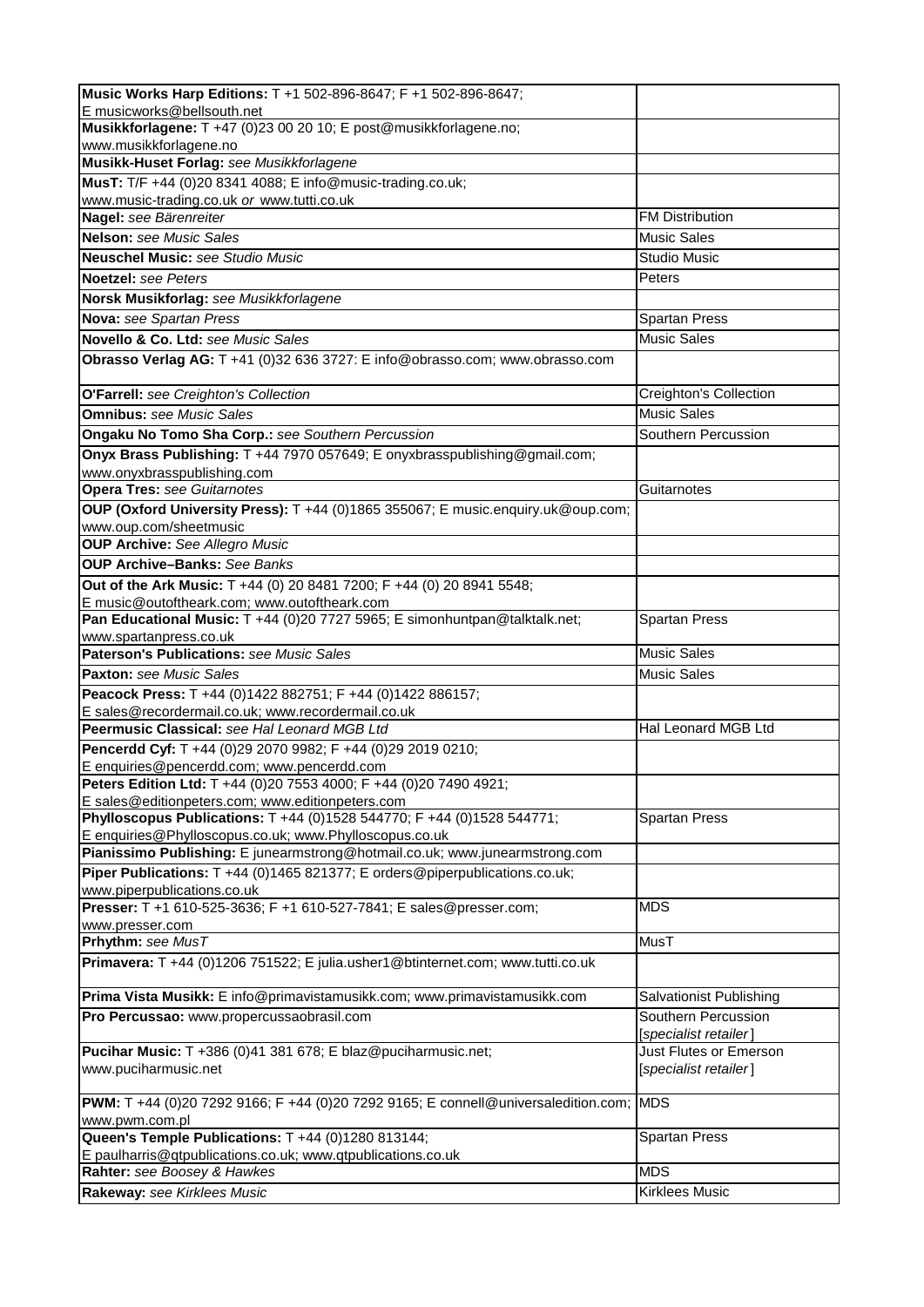| Music Works Harp Editions: T +1 502-896-8647; F +1 502-896-8647;                                                                 |                                                 |
|----------------------------------------------------------------------------------------------------------------------------------|-------------------------------------------------|
| E musicworks@bellsouth.net                                                                                                       |                                                 |
| Musikkforlagene: T +47 (0)23 00 20 10; E post@musikkforlagene.no;                                                                |                                                 |
| www.musikkforlagene.no                                                                                                           |                                                 |
| Musikk-Huset Forlag: see Musikkforlagene                                                                                         |                                                 |
| MusT: T/F +44 (0)20 8341 4088; E info@music-trading.co.uk;                                                                       |                                                 |
| www.music-trading.co.uk or www.tutti.co.uk<br>Nagel: see Bärenreiter                                                             | <b>FM Distribution</b>                          |
| Nelson: see Music Sales                                                                                                          | <b>Music Sales</b>                              |
|                                                                                                                                  | <b>Studio Music</b>                             |
| <b>Neuschel Music:</b> see Studio Music                                                                                          |                                                 |
| <b>Noetzel:</b> see Peters                                                                                                       | Peters                                          |
| Norsk Musikforlag: see Musikkforlagene                                                                                           |                                                 |
| Nova: see Spartan Press                                                                                                          | <b>Spartan Press</b>                            |
| Novello & Co. Ltd: see Music Sales                                                                                               | <b>Music Sales</b>                              |
| Obrasso Verlag AG: T +41 (0)32 636 3727: E info@obrasso.com; www.obrasso.com                                                     |                                                 |
| O'Farrell: see Creighton's Collection                                                                                            | Creighton's Collection                          |
| <b>Omnibus:</b> see Music Sales                                                                                                  | <b>Music Sales</b>                              |
| Ongaku No Tomo Sha Corp.: see Southern Percussion                                                                                | Southern Percussion                             |
| Onyx Brass Publishing: T +44 7970 057649; E onyxbrasspublishing@gmail.com;<br>www.onyxbrasspublishing.com                        |                                                 |
| <b>Opera Tres: see Guitarnotes</b>                                                                                               | Guitarnotes                                     |
| OUP (Oxford University Press): T +44 (0)1865 355067; E music.enquiry.uk@oup.com;                                                 |                                                 |
| www.oup.com/sheetmusic                                                                                                           |                                                 |
| <b>OUP Archive:</b> See Allegro Music                                                                                            |                                                 |
| <b>OUP Archive-Banks: See Banks</b>                                                                                              |                                                 |
| Out of the Ark Music: T +44 (0) 20 8481 7200; F +44 (0) 20 8941 5548;                                                            |                                                 |
| E music@outoftheark.com; www.outoftheark.com                                                                                     |                                                 |
| Pan Educational Music: T +44 (0)20 7727 5965; E simonhuntpan@talktalk.net;                                                       | <b>Spartan Press</b>                            |
| www.spartanpress.co.uk                                                                                                           |                                                 |
| <b>Paterson's Publications: see Music Sales</b>                                                                                  | <b>Music Sales</b>                              |
|                                                                                                                                  |                                                 |
| <b>Paxton:</b> see Music Sales                                                                                                   | <b>Music Sales</b>                              |
| Peacock Press: T +44 (0)1422 882751; F +44 (0)1422 886157;                                                                       |                                                 |
| E sales@recordermail.co.uk; www.recordermail.co.uk                                                                               |                                                 |
| Peermusic Classical: see Hal Leonard MGB Ltd                                                                                     | Hal Leonard MGB Ltd                             |
| Pencerdd Cyf: T +44 (0)29 2070 9982; F +44 (0)29 2019 0210;                                                                      |                                                 |
| E enquiries@pencerdd.com; www.pencerdd.com<br><b>Peters Edition Ltd:</b> T +44 (0)20 7553 4000; F +44 (0)20 7490 4921;           |                                                 |
| E sales@editionpeters.com; www.editionpeters.com                                                                                 |                                                 |
| Phylloscopus Publications: T +44 (0)1528 544770; F +44 (0)1528 544771;<br>E enquiries@Phylloscopus.co.uk; www.Phylloscopus.co.uk | <b>Spartan Press</b>                            |
| Pianissimo Publishing: E junearmstrong@hotmail.co.uk; www.junearmstrong.com                                                      |                                                 |
| Piper Publications: T +44 (0)1465 821377; E orders@piperpublications.co.uk;<br>www.piperpublications.co.uk                       |                                                 |
| Presser: T +1 610-525-3636; F +1 610-527-7841; E sales@presser.com;                                                              | <b>MDS</b>                                      |
| www.presser.com<br>Prhythm: see MusT                                                                                             | MusT                                            |
| Primavera: T +44 (0)1206 751522; E julia.usher1@btinternet.com; www.tutti.co.uk                                                  |                                                 |
| Prima Vista Musikk: E info@primavistamusikk.com; www.primavistamusikk.com                                                        | Salvationist Publishing                         |
| Pro Percussao: www.propercussaobrasil.com                                                                                        | Southern Percussion                             |
|                                                                                                                                  | [specialist retailer]                           |
| Pucihar Music: T +386 (0)41 381 678; E blaz@puciharmusic.net;<br>www.puciharmusic.net                                            | Just Flutes or Emerson<br>[specialist retailer] |
| PWM: T +44 (0)20 7292 9166; F +44 (0)20 7292 9165; E connell@universaledition.com;                                               | <b>MDS</b>                                      |
| www.pwm.com.pl                                                                                                                   |                                                 |
| Queen's Temple Publications: T +44 (0)1280 813144;<br>E paulharris@qtpublications.co.uk; www.qtpublications.co.uk                | <b>Spartan Press</b>                            |
| Rahter: see Boosey & Hawkes                                                                                                      | <b>MDS</b>                                      |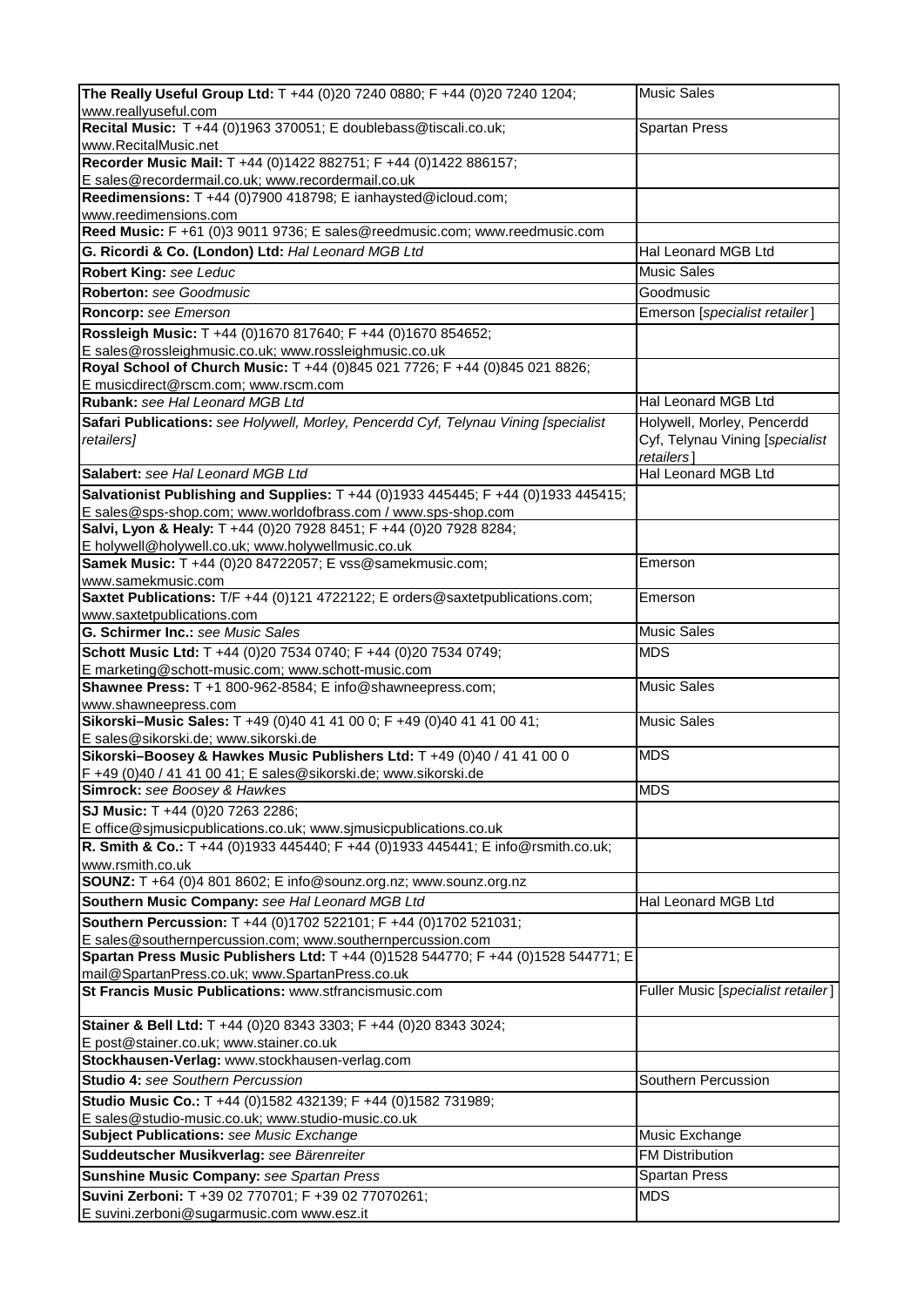| The Really Useful Group Ltd: T +44 (0)20 7240 0880; F +44 (0)20 7240 1204;                                                            | <b>Music Sales</b>                 |
|---------------------------------------------------------------------------------------------------------------------------------------|------------------------------------|
| www.reallyuseful.com                                                                                                                  |                                    |
| Recital Music: T +44 (0)1963 370051; E doublebass@tiscali.co.uk;                                                                      | <b>Spartan Press</b>               |
| www.RecitalMusic.net                                                                                                                  |                                    |
| Recorder Music Mail: T +44 (0)1422 882751; F +44 (0)1422 886157;                                                                      |                                    |
| E sales@recordermail.co.uk; www.recordermail.co.uk<br>Reedimensions: T +44 (0)7900 418798; E ianhaysted@icloud.com;                   |                                    |
| www.reedimensions.com                                                                                                                 |                                    |
| Reed Music: F +61 (0)3 9011 9736; E sales@reedmusic.com; www.reedmusic.com                                                            |                                    |
| G. Ricordi & Co. (London) Ltd: Hal Leonard MGB Ltd                                                                                    | Hal Leonard MGB Ltd                |
| <b>Robert King: see Leduc</b>                                                                                                         | <b>Music Sales</b>                 |
| Roberton: see Goodmusic                                                                                                               | Goodmusic                          |
| Roncorp: see Emerson                                                                                                                  | Emerson [specialist retailer]      |
|                                                                                                                                       |                                    |
| Rossleigh Music: T +44 (0)1670 817640; F +44 (0)1670 854652;                                                                          |                                    |
| E sales@rossleighmusic.co.uk; www.rossleighmusic.co.uk<br>Royal School of Church Music: T +44 (0)845 021 7726; F +44 (0)845 021 8826; |                                    |
| E musicdirect@rscm.com; www.rscm.com                                                                                                  |                                    |
| Rubank: see Hal Leonard MGB Ltd                                                                                                       | Hal Leonard MGB Ltd                |
| Safari Publications: see Holywell, Morley, Pencerdd Cyf, Telynau Vining [specialist                                                   | Holywell, Morley, Pencerdd         |
| retailers]                                                                                                                            | Cyf, Telynau Vining [specialist    |
|                                                                                                                                       | retailers]                         |
| Salabert: see Hal Leonard MGB Ltd                                                                                                     | Hal Leonard MGB Ltd                |
| Salvationist Publishing and Supplies: T +44 (0)1933 445445; F +44 (0)1933 445415;                                                     |                                    |
| E sales@sps-shop.com; www.worldofbrass.com / www.sps-shop.com                                                                         |                                    |
| Salvi, Lyon & Healy: T +44 (0)20 7928 8451; F +44 (0)20 7928 8284;                                                                    |                                    |
| E holywell@holywell.co.uk; www.holywellmusic.co.uk                                                                                    |                                    |
| Samek Music: T +44 (0)20 84722057; E vss@samekmusic.com;                                                                              | Emerson                            |
| www.samekmusic.com                                                                                                                    |                                    |
| Saxtet Publications: T/F +44 (0)121 4722122; E orders@saxtetpublications.com;                                                         | Emerson                            |
| www.saxtetpublications.com                                                                                                            |                                    |
| G. Schirmer Inc.: see Music Sales                                                                                                     | <b>Music Sales</b>                 |
| Schott Music Ltd: T +44 (0)20 7534 0740; F +44 (0)20 7534 0749;                                                                       | <b>MDS</b>                         |
| E marketing@schott-music.com; www.schott-music.com                                                                                    |                                    |
| Shawnee Press: T +1 800-962-8584; E info@shawneepress.com;                                                                            | <b>Music Sales</b>                 |
| www.shawneepress.com                                                                                                                  |                                    |
| Sikorski-Music Sales: T +49 (0)40 41 41 00 0; F +49 (0)40 41 41 00 41;                                                                | <b>Music Sales</b>                 |
| E sales@sikorski.de; www.sikorski.de                                                                                                  |                                    |
| Sikorski-Boosey & Hawkes Music Publishers Ltd: T +49 (0)40 / 41 41 00 0                                                               | <b>MDS</b>                         |
| F +49 (0)40 / 41 41 00 41; E sales@sikorski.de; www.sikorski.de                                                                       |                                    |
| Simrock: see Boosey & Hawkes                                                                                                          | <b>MDS</b>                         |
| SJ Music: T +44 (0)20 7263 2286;                                                                                                      |                                    |
| E office@sjmusicpublications.co.uk; www.sjmusicpublications.co.uk                                                                     |                                    |
| R. Smith & Co.: T +44 (0)1933 445440; F +44 (0)1933 445441; E info@rsmith.co.uk;                                                      |                                    |
| www.rsmith.co.uk                                                                                                                      |                                    |
| SOUNZ: T +64 (0)4 801 8602; E info@sounz.org.nz; www.sounz.org.nz                                                                     |                                    |
| Southern Music Company: see Hal Leonard MGB Ltd                                                                                       | Hal Leonard MGB Ltd                |
| Southern Percussion: T +44 (0)1702 522101; F +44 (0)1702 521031;                                                                      |                                    |
| E sales@southernpercussion.com; www.southernpercussion.com                                                                            |                                    |
| Spartan Press Music Publishers Ltd: T +44 (0)1528 544770; F +44 (0)1528 544771; E                                                     |                                    |
| mail@SpartanPress.co.uk; www.SpartanPress.co.uk                                                                                       |                                    |
| <b>St Francis Music Publications: www.stfrancismusic.com</b>                                                                          | Fuller Music [specialist retailer] |
|                                                                                                                                       |                                    |
| Stainer & Bell Ltd: T +44 (0)20 8343 3303; F +44 (0)20 8343 3024;<br>E post@stainer.co.uk; www.stainer.co.uk                          |                                    |
| Stockhausen-Verlag: www.stockhausen-verlag.com                                                                                        |                                    |
| <b>Studio 4: see Southern Percussion</b>                                                                                              | Southern Percussion                |
|                                                                                                                                       |                                    |
| Studio Music Co.: T +44 (0)1582 432139; F +44 (0)1582 731989;                                                                         |                                    |
| E sales@studio-music.co.uk; www.studio-music.co.uk                                                                                    | Music Exchange                     |
| <b>Subject Publications: see Music Exchange</b>                                                                                       |                                    |
| Suddeutscher Musikverlag: see Bärenreiter                                                                                             | <b>FM Distribution</b>             |
| Sunshine Music Company: see Spartan Press                                                                                             | <b>Spartan Press</b>               |
| Suvini Zerboni: T +39 02 770701; F +39 02 77070261;                                                                                   | <b>MDS</b>                         |
| E suvini.zerboni@sugarmusic.com www.esz.it                                                                                            |                                    |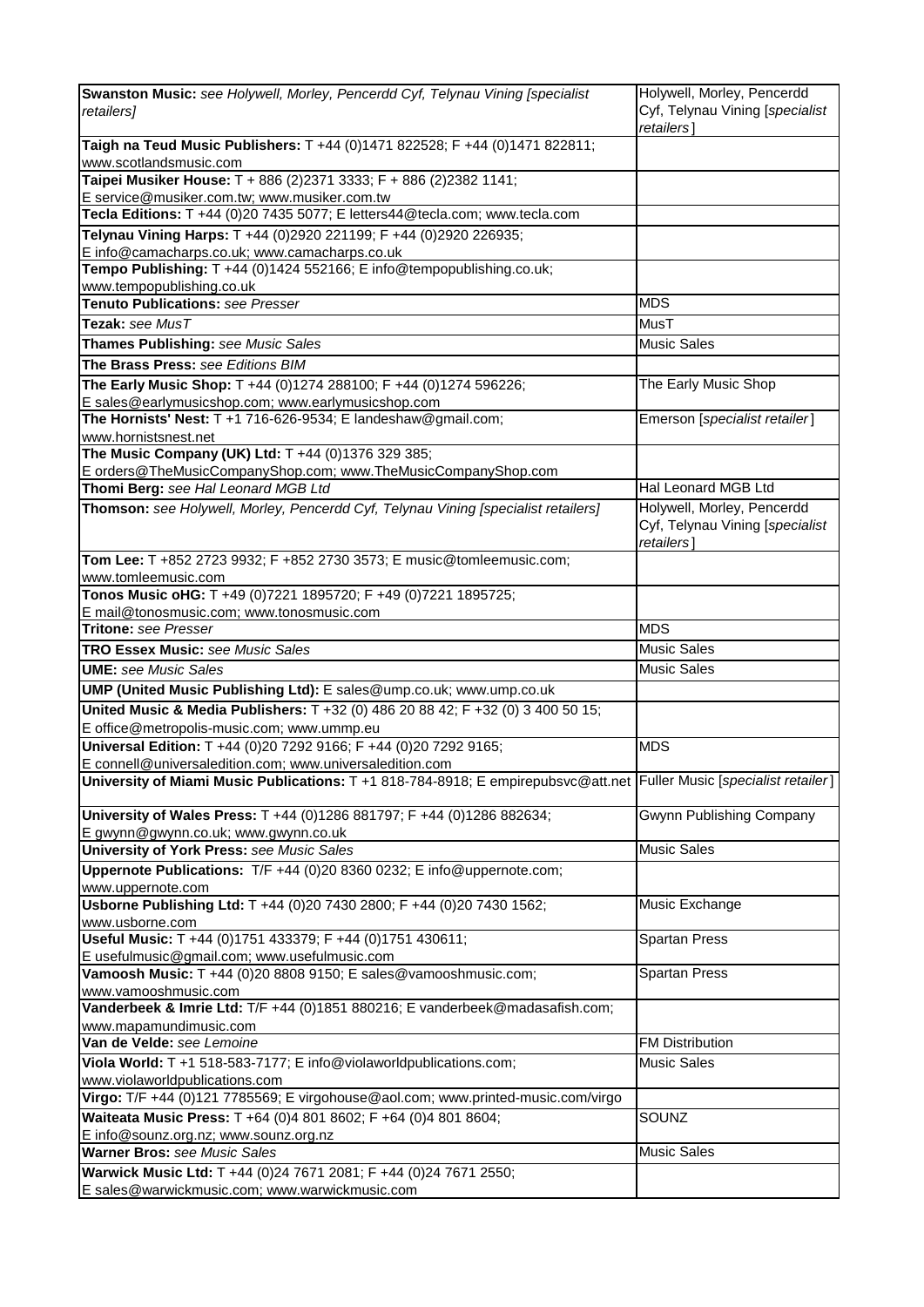| Swanston Music: see Holywell, Morley, Pencerdd Cyf, Telynau Vining [specialist                                              | Holywell, Morley, Pencerdd                    |
|-----------------------------------------------------------------------------------------------------------------------------|-----------------------------------------------|
| retailers]                                                                                                                  | Cyf, Telynau Vining [specialist<br>retailers] |
| Taigh na Teud Music Publishers: T +44 (0)1471 822528; F +44 (0)1471 822811;<br>www.scotlandsmusic.com                       |                                               |
| Taipei Musiker House: T + 886 (2)2371 3333; F + 886 (2)2382 1141;                                                           |                                               |
| E service@musiker.com.tw; www.musiker.com.tw<br>Tecla Editions: T +44 (0)20 7435 5077; E letters44@tecla.com; www.tecla.com |                                               |
| Telynau Vining Harps: T +44 (0)2920 221199; F +44 (0)2920 226935;                                                           |                                               |
| E info@camacharps.co.uk; www.camacharps.co.uk                                                                               |                                               |
| Tempo Publishing: T +44 (0)1424 552166; E info@tempopublishing.co.uk;                                                       |                                               |
| www.tempopublishing.co.uk                                                                                                   |                                               |
| Tenuto Publications: see Presser                                                                                            | <b>MDS</b>                                    |
| Tezak: see MusT                                                                                                             | MusT                                          |
| Thames Publishing: see Music Sales                                                                                          | <b>Music Sales</b>                            |
| The Brass Press: see Editions BIM                                                                                           |                                               |
| The Early Music Shop: T +44 (0)1274 288100; F +44 (0)1274 596226;                                                           | The Early Music Shop                          |
| E sales@earlymusicshop.com; www.earlymusicshop.com                                                                          |                                               |
| The Hornists' Nest: $T + 1$ 716-626-9534; E landeshaw@gmail.com;                                                            | Emerson [specialist retailer]                 |
| www.hornistsnest.net<br>The Music Company (UK) Ltd: T +44 (0)1376 329 385;                                                  |                                               |
| E orders@TheMusicCompanyShop.com; www.TheMusicCompanyShop.com                                                               |                                               |
| Thomi Berg: see Hal Leonard MGB Ltd                                                                                         | Hal Leonard MGB Ltd                           |
| Thomson: see Holywell, Morley, Pencerdd Cyf, Telynau Vining [specialist retailers]                                          | Holywell, Morley, Pencerdd                    |
|                                                                                                                             | Cyf, Telynau Vining [specialist<br>retailers] |
| Tom Lee: T +852 2723 9932; F +852 2730 3573; E music@tomleemusic.com;                                                       |                                               |
| www.tomleemusic.com<br>Tonos Music oHG: T +49 (0)7221 1895720; F +49 (0)7221 1895725;                                       |                                               |
| E mail@tonosmusic.com; www.tonosmusic.com                                                                                   |                                               |
| Tritone: see Presser                                                                                                        | <b>MDS</b>                                    |
| <b>TRO Essex Music: see Music Sales</b>                                                                                     | <b>Music Sales</b>                            |
| <b>UME:</b> see Music Sales                                                                                                 | <b>Music Sales</b>                            |
| UMP (United Music Publishing Ltd): E sales@ump.co.uk; www.ump.co.uk                                                         |                                               |
| United Music & Media Publishers: T +32 (0) 486 20 88 42; F +32 (0) 3 400 50 15;                                             |                                               |
| E office@metropolis-music.com; www.ummp.eu                                                                                  |                                               |
| Universal Edition: T +44 (0)20 7292 9166; F +44 (0)20 7292 9165;                                                            | <b>MDS</b>                                    |
| E connell@universaledition.com; www.universaledition.com                                                                    |                                               |
| University of Miami Music Publications: T +1 818-784-8918; E empirepubsvc@att.net Fuller Music [specialist retailer]        |                                               |
| University of Wales Press: T +44 (0)1286 881797; F +44 (0)1286 882634;<br>E gwynn@gwynn.co.uk; www.gwynn.co.uk              | Gwynn Publishing Company                      |
| <b>University of York Press: see Music Sales</b>                                                                            | <b>Music Sales</b>                            |
| Uppernote Publications: T/F +44 (0)20 8360 0232; E info@uppernote.com;                                                      |                                               |
| www.uppernote.com<br>Usborne Publishing Ltd: T +44 (0)20 7430 2800; F +44 (0)20 7430 1562;                                  |                                               |
| www.usborne.com                                                                                                             | Music Exchange                                |
| Useful Music: T +44 (0)1751 433379; F +44 (0)1751 430611;                                                                   | <b>Spartan Press</b>                          |
| E usefulmusic@gmail.com; www.usefulmusic.com                                                                                |                                               |
| Vamoosh Music: T +44 (0)20 8808 9150; E sales@vamooshmusic.com;                                                             | <b>Spartan Press</b>                          |
| www.vamooshmusic.com                                                                                                        |                                               |
| Vanderbeek & Imrie Ltd: T/F +44 (0)1851 880216; E vanderbeek@madasafish.com;                                                |                                               |
| www.mapamundimusic.com<br>Van de Velde: see Lemoine                                                                         | <b>FM Distribution</b>                        |
| Viola World: T +1 518-583-7177; E info@violaworldpublications.com;                                                          | <b>Music Sales</b>                            |
| www.violaworldpublications.com                                                                                              |                                               |
| Virgo: T/F +44 (0)121 7785569; E virgohouse@aol.com; www.printed-music.com/virgo                                            |                                               |
| Waiteata Music Press: T +64 (0)4 801 8602; F +64 (0)4 801 8604;                                                             | SOUNZ                                         |
| E info@sounz.org.nz; www.sounz.org.nz                                                                                       |                                               |
| Warner Bros: see Music Sales                                                                                                | <b>Music Sales</b>                            |
| Warwick Music Ltd: T +44 (0)24 7671 2081; F +44 (0)24 7671 2550;                                                            |                                               |
| E sales@warwickmusic.com; www.warwickmusic.com                                                                              |                                               |